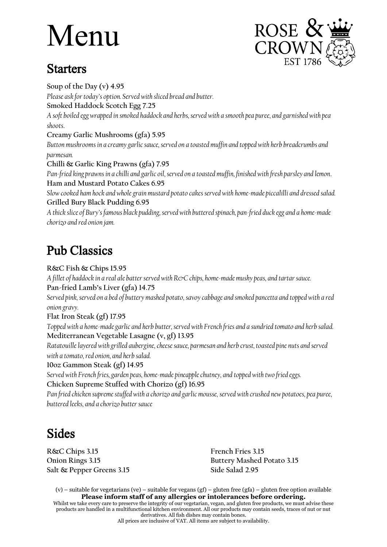## Menu

## **Starters**



**Soup of the Day (v) 4.95** *Please ask for today's option. Served with sliced bread and butter.* **Smoked Haddock Scotch Egg 7.25** *A soft boiled egg wrapped in smoked haddock and herbs, served with a smooth pea puree, and garnished with pea shoots*. **Creamy Garlic Mushrooms (gfa) 5.95** *Button mushrooms in a creamy garlic sauce, served on a toasted muffin and topped with herb breadcrumbs and parmesan.* **Chilli & Garlic King Prawns (gfa) 7.95** *Pan-fried king prawns in a chilli and garlic oil, served on a toasted muffin, finished with fresh parsley and lemon*. **Ham and Mustard Potato Cakes 6.95** *Slow cooked ham hock and whole grain mustard potato cakes served with home-made piccalilli and dressed salad.* **Grilled Bury Black Pudding 6.95** *A thick slice of Bury's famous black pudding, served with buttered spinach, pan-fried duck egg and a home-made chorizo and red onion jam.* Pub Classics

**R&C Fish & Chips 15.95**

*A fillet of haddock in a real ale batter served with R&C chips, home-made mushy peas, and tartar sauce.* **Pan-fried Lamb's Liver (gfa) 14.75**

*Served pink, served on a bed of buttery mashed potato, savoy cabbage and smoked pancetta and topped with a red onion gravy.*

**Flat Iron Steak (gf) 17.95**

*Topped with a home-made garlic and herb butter, served with French fries and a sundried tomato and herb salad.* **Mediterranean Vegetable Lasagne (v, gf) 13.95**

*Ratatouille layered with grilled aubergine, cheese sauce, parmesan and herb crust, toasted pine nuts and served with a tomato, red onion, and herb salad.*

## **10oz Gammon Steak (gf) 14.95**

*Served with French fries, garden peas, home-made pineapple chutney, and topped with two fried eggs.* **Chicken Supreme Stuffed with Chorizo (gf) 16.95**

*Pan fried chicken supreme stuffed with a chorizo and garlic mousse, served with crushed new potatoes, pea puree, buttered leeks, and a chorizo butter sauce*

## Sides

**R&C Chips 3.15 French Fries 3.15 Salt & Pepper Greens 3.15 Side Salad 2.95**

**Onion Rings 3.15 Buttery Mashed Potato 3.15**

(v) – suitable for vegetarians (ve) – suitable for vegans (gf) – gluten free (gfa) – gluten free option available **Please inform staff of any allergies or intolerances before ordering.**

Whilst we take every care to preserve the integrity of our vegetarian, vegan, and gluten free products, we must advise these products are handled in a multifunctional kitchen environment. All our products may contain seeds, traces of nut or nut derivatives. All fish dishes may contain bones.

All prices are inclusive of VAT. All items are subject to availability.